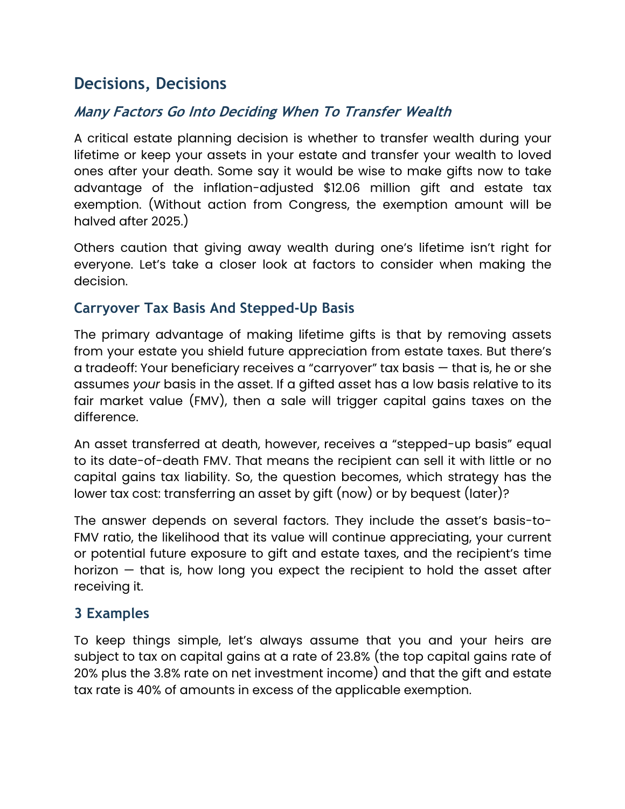# **Decisions, Decisions**

## **Many Factors Go Into Deciding When To Transfer Wealth**

A critical estate planning decision is whether to transfer wealth during your lifetime or keep your assets in your estate and transfer your wealth to loved ones after your death. Some say it would be wise to make gifts now to take advantage of the inflation-adjusted \$12.06 million gift and estate tax exemption. (Without action from Congress, the exemption amount will be halved after 2025.)

Others caution that giving away wealth during one's lifetime isn't right for everyone. Let's take a closer look at factors to consider when making the decision.

### **Carryover Tax Basis And Stepped-Up Basis**

The primary advantage of making lifetime gifts is that by removing assets from your estate you shield future appreciation from estate taxes. But there's a tradeoff: Your beneficiary receives a "carryover" tax basis — that is, he or she assumes *your* basis in the asset. If a gifted asset has a low basis relative to its fair market value (FMV), then a sale will trigger capital gains taxes on the difference.

An asset transferred at death, however, receives a "stepped-up basis" equal to its date-of-death FMV. That means the recipient can sell it with little or no capital gains tax liability. So, the question becomes, which strategy has the lower tax cost: transferring an asset by gift (now) or by bequest (later)?

The answer depends on several factors. They include the asset's basis-to-FMV ratio, the likelihood that its value will continue appreciating, your current or potential future exposure to gift and estate taxes, and the recipient's time horizon — that is, how long you expect the recipient to hold the asset after receiving it.

## **3 Examples**

To keep things simple, let's always assume that you and your heirs are subject to tax on capital gains at a rate of 23.8% (the top capital gains rate of 20% plus the 3.8% rate on net investment income) and that the gift and estate tax rate is 40% of amounts in excess of the applicable exemption.